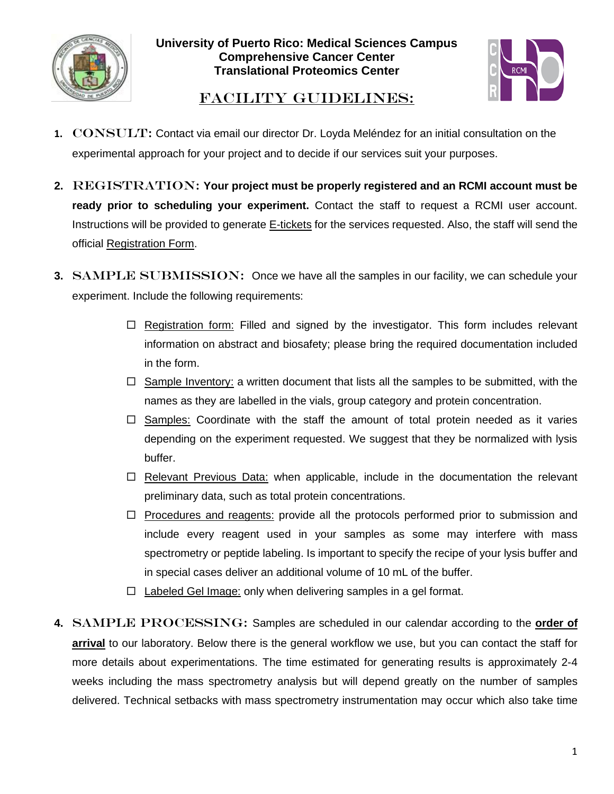



## FACILITY GUIDELINES:

- **1.** CONSULT: Contact via email our director Dr. Loyda Meléndez for an initial consultation on the experimental approach for your project and to decide if our services suit your purposes.
- 2. REGISTRATION: Your project must be properly registered and an RCMI account must be **ready prior to scheduling your experiment.** Contact the staff to request a RCMI user account. Instructions will be provided to generate E-tickets for the services requested. Also, the staff will send the official Registration Form.
- **3.** SAMPLE SUBMISSION: Once we have all the samples in our facility, we can schedule your experiment. Include the following requirements:
	- $\Box$  Registration form: Filled and signed by the investigator. This form includes relevant information on abstract and biosafety; please bring the required documentation included in the form.
	- $\Box$  Sample Inventory: a written document that lists all the samples to be submitted, with the names as they are labelled in the vials, group category and protein concentration.
	- $\Box$  Samples: Coordinate with the staff the amount of total protein needed as it varies depending on the experiment requested. We suggest that they be normalized with lysis buffer.
	- $\Box$  Relevant Previous Data: when applicable, include in the documentation the relevant preliminary data, such as total protein concentrations.
	- $\Box$  Procedures and reagents: provide all the protocols performed prior to submission and include every reagent used in your samples as some may interfere with mass spectrometry or peptide labeling. Is important to specify the recipe of your lysis buffer and in special cases deliver an additional volume of 10 mL of the buffer.
	- $\Box$  Labeled Gel Image: only when delivering samples in a gel format.
- 4. SAMPLE PROCESSING: Samples are scheduled in our calendar according to the **order of arrival** to our laboratory. Below there is the general workflow we use, but you can contact the staff for more details about experimentations. The time estimated for generating results is approximately 2-4 weeks including the mass spectrometry analysis but will depend greatly on the number of samples delivered. Technical setbacks with mass spectrometry instrumentation may occur which also take time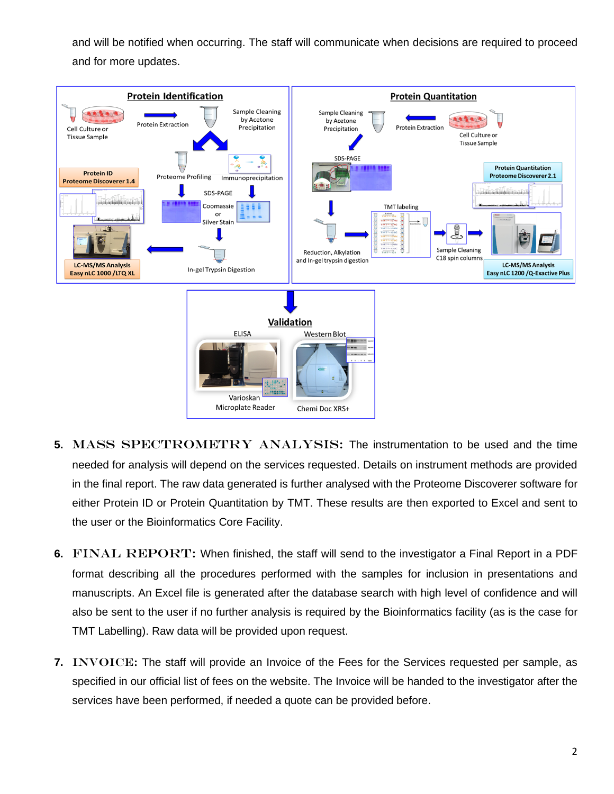and will be notified when occurring. The staff will communicate when decisions are required to proceed and for more updates.



- **5.** MASS SPECTROMETRY ANALYSIS: The instrumentation to be used and the time needed for analysis will depend on the services requested. Details on instrument methods are provided in the final report. The raw data generated is further analysed with the Proteome Discoverer software for either Protein ID or Protein Quantitation by TMT. These results are then exported to Excel and sent to the user or the Bioinformatics Core Facility.
- **6.** FINAL REPORT: When finished, the staff will send to the investigator a Final Report in a PDF format describing all the procedures performed with the samples for inclusion in presentations and manuscripts. An Excel file is generated after the database search with high level of confidence and will also be sent to the user if no further analysis is required by the Bioinformatics facility (as is the case for TMT Labelling). Raw data will be provided upon request.
- **7.** INVOICE: The staff will provide an Invoice of the Fees for the Services requested per sample, as specified in our official list of fees on the website. The Invoice will be handed to the investigator after the services have been performed, if needed a quote can be provided before.